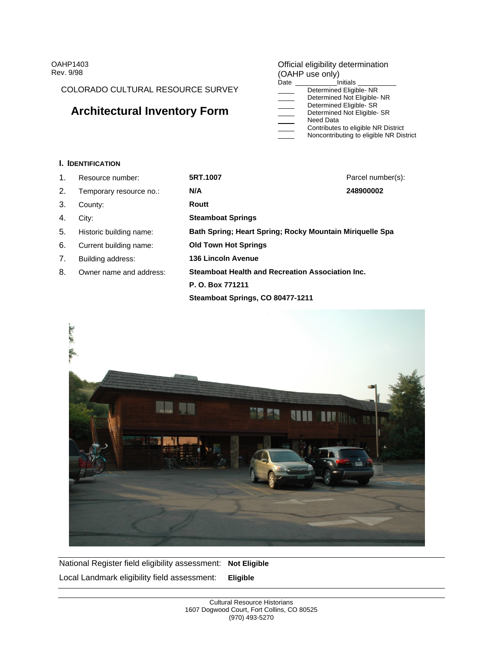COLORADO CULTURAL RESOURCE SURVEY

# **Architectural Inventory Form** The Charmined Act Eligible- SR

#### OAHP1403 **COMENT CONSUMING CONSUMING CONSUMING CONSUMING CONSUMING CONSUMING CONSUMING CONSUMING CONSUMING CONSUMING CONSUMING CONSUMING CONSUMING CONSUMING CONSUMING CONSUMING CONSUMING CONSUMING CONSUMING CONSUMING CONSU** Rev. 9/98 **Rev. 9/98 Rev. 9/98 Rev. 9/98 Rev. 9/98 Rev. 9/98 Rev. 9/98** Official eligibility determination (OAHP use only)

| Date                                                           |                                                                                                    |  |
|----------------------------------------------------------------|----------------------------------------------------------------------------------------------------|--|
| <b>Communication</b>                                           |                                                                                                    |  |
| <b>Communication</b>                                           | ined Not Eligible-NP                                                                               |  |
| $\sim$ $\sim$ $\sim$ $\sim$ $\sim$ $\sim$                      | nea ciiaibii                                                                                       |  |
|                                                                | ined Not Eliaible- S                                                                               |  |
|                                                                | <b>NUCU DUIU</b>                                                                                   |  |
| <b>Communication</b>                                           | <sub>ী</sub> to eligible NR District                                                               |  |
| the company's company's<br>and the contract of the contract of | dibuting to eligible NR District<br>$\sim$ $\sim$ $\sim$<br><b>NODCODITIOUI</b><br>110110011111041 |  |

### **I. IDENTIFICATION**

| Resource number:           | 5RT.1007                                                 | Parcel number(s): |
|----------------------------|----------------------------------------------------------|-------------------|
| 2. Temporary resource no.: | N/A                                                      | 248900002         |
| 3. County:                 | Routt                                                    |                   |
| 4. City:                   | <b>Steamboat Springs</b>                                 |                   |
| 5. Historic building name: | Bath Spring; Heart Spring; Rocky Mountain Miriquelle Spa |                   |
| 6. Current building name:  | <b>Old Town Hot Springs</b>                              |                   |
| 7. Building address:       | 136 Lincoln Avenue                                       |                   |
| 8. Owner name and address: | Steamboat Health and Recreation Association Inc.         |                   |
|                            | P. O. Box 771211                                         |                   |
|                            | Steamboat Springs, CO 80477-1211                         |                   |



National Register field eligibility assessment: **Not Eligible** Local Landmark eligibility field assessment: **Eligible**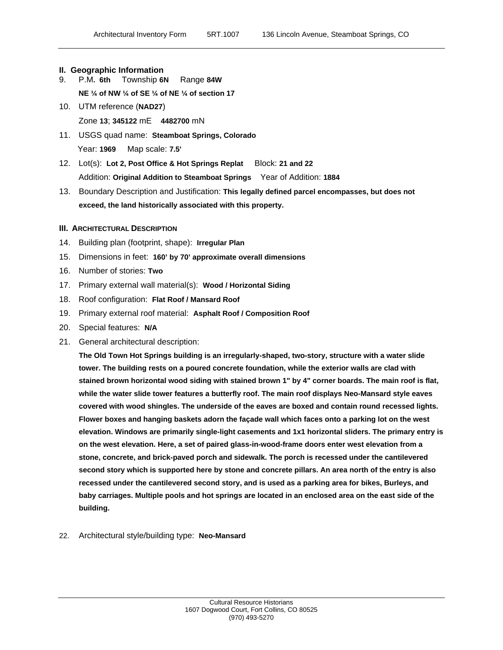#### **II. Geographic Information**

- 9. P.M**. 6th** Township **6N** Range **84W**
	- **NE ¼ of NW ¼ of SE ¼ of NE ¼ of section 17**
- 10. UTM reference (**NAD27**) Zone **13**; **345122** mE **4482700** mN
- 11. USGS quad name: **Steamboat Springs, Colorado** Year: **1969** Map scale: **7.5'**
- 12. Lot(s): **Lot 2, Post Office & Hot Springs Replat** Block: **21 and 22** Addition: **Original Addition to Steamboat Springs** Year of Addition: **1884**
- 13. Boundary Description and Justification: **This legally defined parcel encompasses, but does not exceed, the land historically associated with this property.**

#### **III. ARCHITECTURAL DESCRIPTION**

- 14. Building plan (footprint, shape): **Irregular Plan**
- 15. Dimensions in feet: **160' by 70' approximate overall dimensions**
- 16. Number of stories: **Two**
- 17. Primary external wall material(s): **Wood / Horizontal Siding**
- 
- 18. Roof configuration: **Flat Roof / Mansard Roof**<br>19. Primary external roof material: **Asphalt Roof / Composition Roof**
- 20. Special features: **N/A**
- 21. General architectural description:

**The Old Town Hot Springs building is an irregularly-shaped, two-story, structure with a water slide tower. The building rests on a poured concrete foundation, while the exterior walls are clad with stained brown horizontal wood siding with stained brown 1" by 4" corner boards. The main roof is flat, while the water slide tower features a butterfly roof. The main roof displays Neo-Mansard style eaves covered with wood shingles. The underside of the eaves are boxed and contain round recessed lights. Flower boxes and hanging baskets adorn the façade wall which faces onto a parking lot on the west elevation. Windows are primarily single-light casements and 1x1 horizontal sliders. The primary entry is on the west elevation. Here, a set of paired glass-in-wood-frame doors enter west elevation from a stone, concrete, and brick-paved porch and sidewalk. The porch is recessed under the cantilevered second story which is supported here by stone and concrete pillars. An area north of the entry is also recessed under the cantilevered second story, and is used as a parking area for bikes, Burleys, and baby carriages. Multiple pools and hot springs are located in an enclosed area on the east side of the building.** 

22. Architectural style/building type: **Neo-Mansard**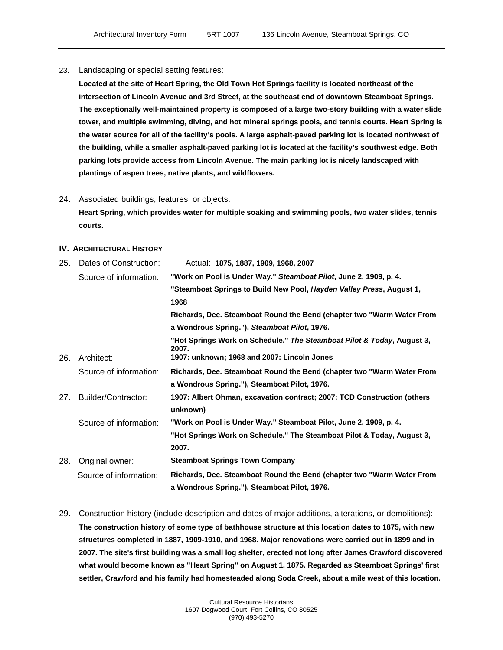23. Landscaping or special setting features:

**Located at the site of Heart Spring, the Old Town Hot Springs facility is located northeast of the intersection of Lincoln Avenue and 3rd Street, at the southeast end of downtown Steamboat Springs. The exceptionally well-maintained property is composed of a large two-story building with a water slide tower, and multiple swimming, diving, and hot mineral springs pools, and tennis courts. Heart Spring is the water source for all of the facility's pools. A large asphalt-paved parking lot is located northwest of the building, while a smaller asphalt-paved parking lot is located at the facility's southwest edge. Both parking lots provide access from Lincoln Avenue. The main parking lot is nicely landscaped with plantings of aspen trees, native plants, and wildflowers.** 

24. Associated buildings, features, or objects:

**Heart Spring, which provides water for multiple soaking and swimming pools, two water slides, tennis courts.**

#### **IV. ARCHITECTURAL HISTORY**

| 25. Dates of Construction: | Actual: 1875, 1887, 1909, 1968, 2007                                            |
|----------------------------|---------------------------------------------------------------------------------|
| Source of information:     | "Work on Pool is Under Way." Steamboat Pilot, June 2, 1909, p. 4.               |
|                            | "Steamboat Springs to Build New Pool, Hayden Valley Press, August 1,            |
|                            | 1968                                                                            |
|                            | Richards, Dee. Steamboat Round the Bend (chapter two "Warm Water From           |
|                            | a Wondrous Spring."), Steamboat Pilot, 1976.                                    |
|                            | "Hot Springs Work on Schedule." The Steamboat Pilot & Today, August 3,<br>2007. |
| 26. Architect:             | 1907: unknown; 1968 and 2007: Lincoln Jones                                     |
| Source of information:     | Richards, Dee. Steamboat Round the Bend (chapter two "Warm Water From           |
|                            | a Wondrous Spring."), Steamboat Pilot, 1976.                                    |
| 27.<br>Builder/Contractor: | 1907: Albert Ohman, excavation contract; 2007: TCD Construction (others         |
|                            | unknown)                                                                        |
| Source of information:     | "Work on Pool is Under Way." Steamboat Pilot, June 2, 1909, p. 4.               |
|                            | "Hot Springs Work on Schedule." The Steamboat Pilot & Today, August 3,          |
|                            | 2007.                                                                           |
| 28. Original owner:        | <b>Steamboat Springs Town Company</b>                                           |
| Source of information:     | Richards, Dee. Steamboat Round the Bend (chapter two "Warm Water From           |
|                            | a Wondrous Spring."), Steamboat Pilot, 1976.                                    |
|                            |                                                                                 |

29. Construction history (include description and dates of major additions, alterations, or demolitions): **The construction history of some type of bathhouse structure at this location dates to 1875, with new structures completed in 1887, 1909-1910, and 1968. Major renovations were carried out in 1899 and in 2007. The site's first building was a small log shelter, erected not long after James Crawford discovered what would become known as "Heart Spring" on August 1, 1875. Regarded as Steamboat Springs' first settler, Crawford and his family had homesteaded along Soda Creek, about a mile west of this location.**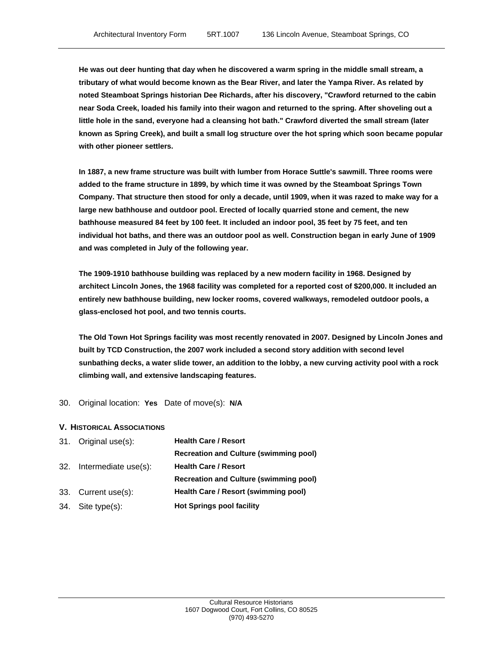**He was out deer hunting that day when he discovered a warm spring in the middle small stream, a tributary of what would become known as the Bear River, and later the Yampa River. As related by noted Steamboat Springs historian Dee Richards, after his discovery, "Crawford returned to the cabin near Soda Creek, loaded his family into their wagon and returned to the spring. After shoveling out a little hole in the sand, everyone had a cleansing hot bath." Crawford diverted the small stream (later known as Spring Creek), and built a small log structure over the hot spring which soon became popular with other pioneer settlers.** 

**In 1887, a new frame structure was built with lumber from Horace Suttle's sawmill. Three rooms were added to the frame structure in 1899, by which time it was owned by the Steamboat Springs Town Company. That structure then stood for only a decade, until 1909, when it was razed to make way for a large new bathhouse and outdoor pool. Erected of locally quarried stone and cement, the new bathhouse measured 84 feet by 100 feet. It included an indoor pool, 35 feet by 75 feet, and ten individual hot baths, and there was an outdoor pool as well. Construction began in early June of 1909 and was completed in July of the following year.**

**The 1909-1910 bathhouse building was replaced by a new modern facility in 1968. Designed by architect Lincoln Jones, the 1968 facility was completed for a reported cost of \$200,000. It included an entirely new bathhouse building, new locker rooms, covered walkways, remodeled outdoor pools, a**  glass-enclosed hot pool, and two tennis courts.<br>The Old Town Hot Springs facility was most recently renovated in 2007. Designed by Lincoln Jones and

**built by TCD Construction, the 2007 work included a second story addition with second level sunbathing decks, a water slide tower, an addition to the lobby, a new curving activity pool with a rock climbing wall, and extensive landscaping features.**

30. Original location: **Yes** Date of move(s): **N/A**

#### **V. HISTORICAL ASSOCIATIONS**

| 31. Original use(s):     | <b>Health Care / Resort</b>                   |
|--------------------------|-----------------------------------------------|
|                          | <b>Recreation and Culture (swimming pool)</b> |
| 32. Intermediate use(s): | <b>Health Care / Resort</b>                   |
|                          | <b>Recreation and Culture (swimming pool)</b> |
| 33. Current use(s):      | Health Care / Resort (swimming pool)          |
| 34. Site type(s):        | <b>Hot Springs pool facility</b>              |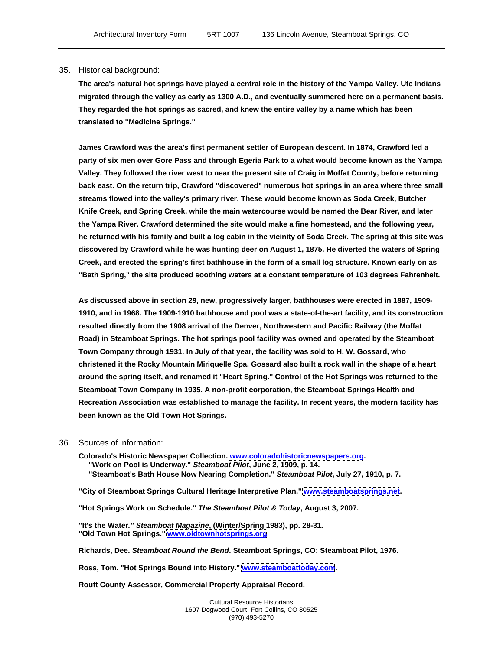#### 35. Historical background:

**The area's natural hot springs have played a central role in the history of the Yampa Valley. Ute Indians migrated through the valley as early as 1300 A.D., and eventually summered here on a permanent basis. They regarded the hot springs as sacred, and knew the entire valley by a name which has been translated to "Medicine Springs."**

**James Crawford was the area's first permanent settler of European descent. In 1874, Crawford led a party of six men over Gore Pass and through Egeria Park to a what would become known as the Yampa Valley. They followed the river west to near the present site of Craig in Moffat County, before returning back east. On the return trip, Crawford "discovered" numerous hot springs in an area where three small streams flowed into the valley's primary river. These would become known as Soda Creek, Butcher Knife Creek, and Spring Creek, while the main watercourse would be named the Bear River, and later the Yampa River. Crawford determined the site would make a fine homestead, and the following year, he returned with his family and built a log cabin in the vicinity of Soda Creek. The spring at this site was discovered by Crawford while he was hunting deer on August 1, 1875. He diverted the waters of Spring Creek, and erected the spring's first bathhouse in the form of a small log structure. Known early on as "Bath Spring," the site produced soothing waters at a constant temperature of 103 degrees Fahrenheit.** 

**As discussed above in section 29, new, progressively larger, bathhouses were erected in 1887, 1909- 1910, and in 1968. The 1909-1910 bathhouse and pool was a state-of-the-art facility, and its construction resulted directly from the 1908 arrival of the Denver, Northwestern and Pacific Railway (the Moffat Road) in Steamboat Springs. The hot springs pool facility was owned and operated by the Steamboat Town Company through 1931. In July of that year, the facility was sold to H. W. Gossard, who christened it the Rocky Mountain Miriquelle Spa. Gossard also built a rock wall in the shape of a heart around the spring itself, and renamed it "Heart Spring." Control of the Hot Springs was returned to the Steamboat Town Company in 1935. A non-profit corporation, the Steamboat Springs Health and Recreation Association was established to manage the facility. In recent years, the modern facility has been known as the Old Town Hot Springs.** 

#### 36. Sources of information:

**Colorado's Historic Newspaper Collection. [www.coloradohistoricnewspapers.org](http://www.coloradohistoricnewspapers.org). "Work on Pool is Underway." Steamboat Pilot, June 2, 1909, p. 14. "Steamboat's Bath House Now Nearing Completion." Steamboat Pilot, July 27, 1910, p. 7.**

**"City of Steamboat Springs Cultural Heritage Interpretive Plan." [www.steamboatsprings.net](http://www.steamboatsprings.net).**

**"Hot Springs Work on Schedule." The Steamboat Pilot & Today, August 3, 2007.**

**"It's the Water." Steamboat Magazine, (Winter/Spring 1983), pp. 28-31. "Old Town Hot Springs." [www.oldtownhotsprings.org](http://www.oldtownhotsprings.org)**

**Richards, Dee. Steamboat Round the Bend. Steamboat Springs, CO: Steamboat Pilot, 1976.**

**Ross, Tom. "Hot Springs Bound into History." [www.steamboattoday.com](http://www.steamboattoday.com).**

**Routt County Assessor, Commercial Property Appraisal Record.**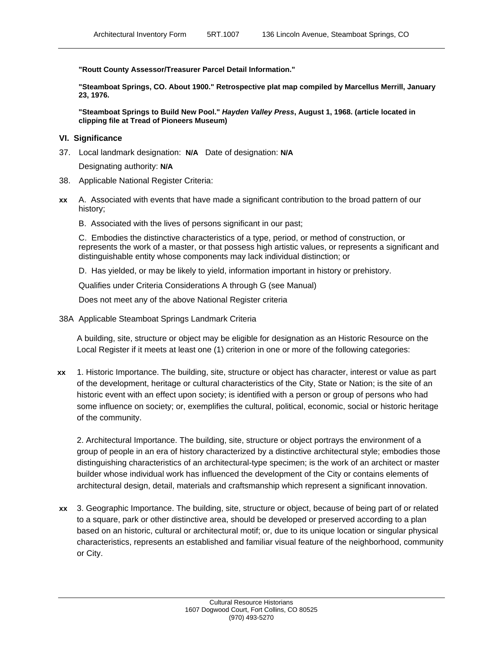**"Routt County Assessor/Treasurer Parcel Detail Information."**

**"Steamboat Springs, CO. About 1900." Retrospective plat map compiled by Marcellus Merrill, January 23, 1976.**

**"Steamboat Springs to Build New Pool." Hayden Valley Press, August 1, 1968. (article located in clipping file at Tread of Pioneers Museum)**

#### **VI. Significance**

37. Local landmark designation: **N/A** Date of designation: **N/A**

Designating authority: **N/A**

- 38. Applicable National Register Criteria:
- **xx** A. Associated with events that have made a significant contribution to the broad pattern of our history;
	- B. Associated with the lives of persons significant in our past;

C. Embodies the distinctive characteristics of a type, period, or method of construction, or represents the work of a master, or that possess high artistic values, or represents a significant and distinguishable entity whose components may lack individual distinction; or

D. Has yielded, or may be likely to yield, information important in history or prehistory.

Qualifies under Criteria Considerations A through G (see Manual)

Does not meet any of the above National Register criteria

38A Applicable Steamboat Springs Landmark Criteria

A building, site, structure or object may be eligible for designation as an Historic Resource on the Local Register if it meets at least one (1) criterion in one or more of the following categories:

**xx** 1. Historic Importance. The building, site, structure or object has character, interest or value as part of the development, heritage or cultural characteristics of the City, State or Nation; is the site of an historic event with an effect upon society; is identified with a person or group of persons who had some influence on society; or, exemplifies the cultural, political, economic, social or historic heritage of the community.

2. Architectural Importance. The building, site, structure or object portrays the environment of a group of people in an era of history characterized by a distinctive architectural style; embodies those distinguishing characteristics of an architectural-type specimen; is the work of an architect or master builder whose individual work has influenced the development of the City or contains elements of architectural design, detail, materials and craftsmanship which represent a significant innovation.

**xx** 3. Geographic Importance. The building, site, structure or object, because of being part of or related to a square, park or other distinctive area, should be developed or preserved according to a plan based on an historic, cultural or architectural motif; or, due to its unique location or singular physical characteristics, represents an established and familiar visual feature of the neighborhood, community or City.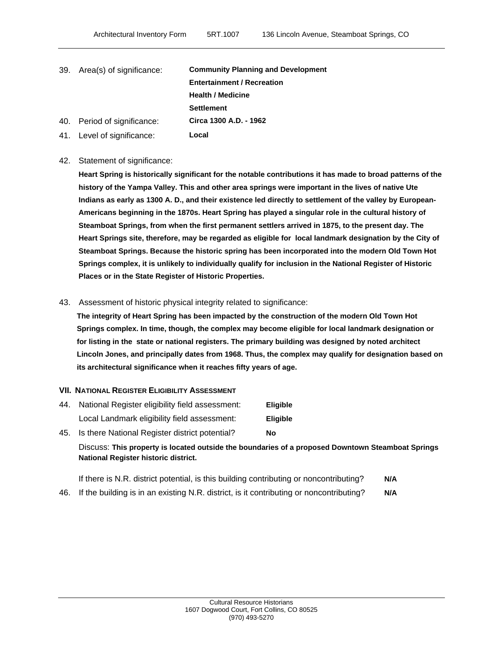| 39. Area(s) of significance: | <b>Community Planning and Development</b> |
|------------------------------|-------------------------------------------|
|                              | <b>Entertainment / Recreation</b>         |
|                              | <b>Health / Medicine</b>                  |
|                              | <b>Settlement</b>                         |
| 40. Period of significance:  | Circa 1300 A.D. - 1962                    |
| 41. Level of significance:   | Local                                     |

#### 42. Statement of significance:

**Heart Spring is historically significant for the notable contributions it has made to broad patterns of the history of the Yampa Valley. This and other area springs were important in the lives of native Ute Indians as early as 1300 A. D., and their existence led directly to settlement of the valley by European- Americans beginning in the 1870s. Heart Spring has played a singular role in the cultural history of Steamboat Springs, from when the first permanent settlers arrived in 1875, to the present day. The Heart Springs site, therefore, may be regarded as eligible for local landmark designation by the City of Steamboat Springs. Because the historic spring has been incorporated into the modern Old Town Hot Springs complex, it is unlikely to individually qualify for inclusion in the National Register of Historic Places or in the State Register of Historic Properties.** 

## 43. Assessment of historic physical integrity related to significance:

**The integrity of Heart Spring has been impacted by the construction of the modern Old Town Hot Springs complex. In time, though, the complex may become eligible for local landmark designation or for listing in the state or national registers. The primary building was designed by noted architect Lincoln Jones, and principally dates from 1968. Thus, the complex may qualify for designation based on its architectural significance when it reaches fifty years of age. VII. NATIONAL REGISTER ELIGIBILITY ASSESSMENT**

44. National Register eligibility field assessment: **Eligible** Local Landmark eligibility field assessment: **Eligible**

45. Is there National Register district potential? **No** Discuss: **This property is located outside the boundaries of a proposed Downtown Steamboat Springs National Register historic district.**

| If there is N.R. district potential, is this building contributing or noncontributing?<br><b>AIA</b>          |  |  |
|---------------------------------------------------------------------------------------------------------------|--|--|
| 46. If the building is in an existing N.R. district, is it contributing or noncontributing?<br>$\blacksquare$ |  |  |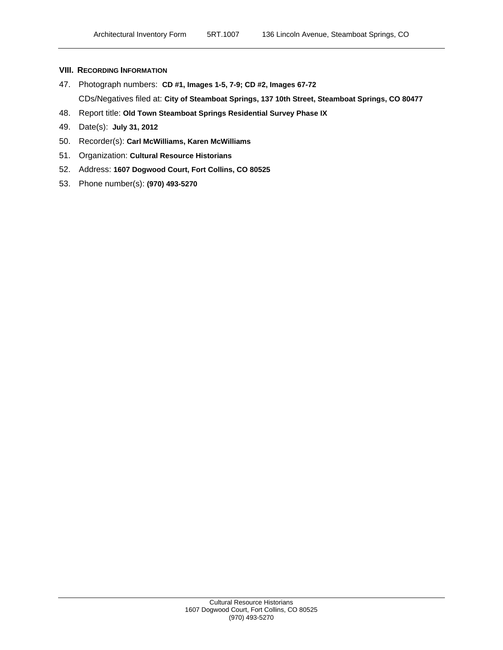#### **VIII. RECORDING INFORMATION**

- 47. Photograph numbers: **CD #1, Images 1-5, 7-9; CD #2, Images 67-72** CDs/Negatives filed at: **City of Steamboat Springs, 137 10th Street, Steamboat Springs, CO 80477**
- 48. Report title: **Old Town Steamboat Springs Residential Survey Phase IX**
- 49. Date(s): **July 31, 2012**
- 50. Recorder(s): **Carl McWilliams, Karen McWilliams**
- 51. Organization: **Cultural Resource Historians**
- 52. Address: **1607 Dogwood Court, Fort Collins, CO 80525**
- 53. Phone number(s): **(970) 493-5270**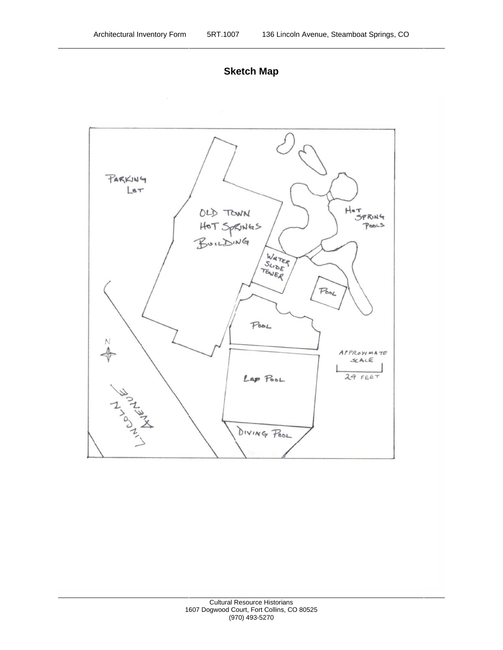

**Sketch Map**